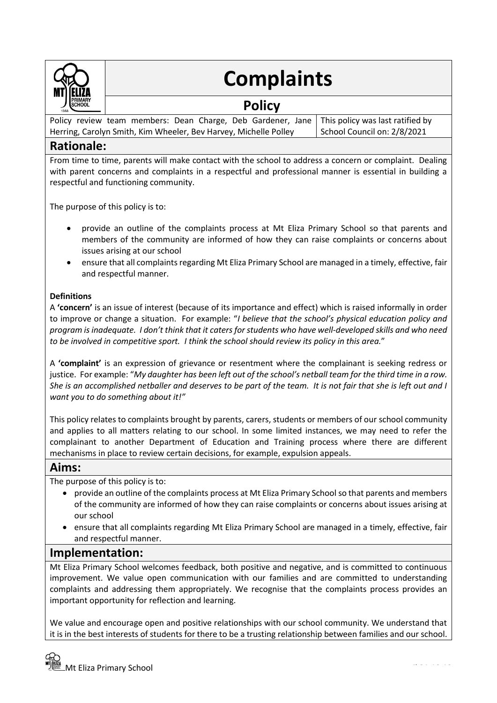

# **Complaints**

# **Policy**

Policy review team members: Dean Charge, Deb Gardener, Jane Herring, Carolyn Smith, Kim Wheeler, Bev Harvey, Michelle Polley This policy was last ratified by School Council on: 2/8/2021

## **Rationale:**

From time to time, parents will make contact with the school to address a concern or complaint. Dealing with parent concerns and complaints in a respectful and professional manner is essential in building a respectful and functioning community.

The purpose of this policy is to:

- provide an outline of the complaints process at Mt Eliza Primary School so that parents and members of the community are informed of how they can raise complaints or concerns about issues arising at our school
- ensure that all complaints regarding Mt Eliza Primary School are managed in a timely, effective, fair and respectful manner.

#### **Definitions**

A **'concern'** is an issue of interest (because of its importance and effect) which is raised informally in order to improve or change a situation. For example: "*I believe that the school's physical education policy and program is inadequate. I don't think that it caters for students who have well-developed skills and who need to be involved in competitive sport. I think the school should review its policy in this area.*"

A **'complaint'** is an expression of grievance or resentment where the complainant is seeking redress or justice. For example: "My daughter has been left out of the school's netball team for the third time in a row. *She is an accomplished netballer and deserves to be part of the team. It is not fair that she is left out and I want you to do something about it!"*

This policy relates to complaints brought by parents, carers, students or members of our school community and applies to all matters relating to our school. In some limited instances, we may need to refer the complainant to another Department of Education and Training process where there are different mechanisms in place to review certain decisions, for example, expulsion appeals.

#### **Aims:**

The purpose of this policy is to:

- provide an outline of the complaints process at Mt Eliza Primary School so that parents and members of the community are informed of how they can raise complaints or concerns about issues arising at our school
- ensure that all complaints regarding Mt Eliza Primary School are managed in a timely, effective, fair and respectful manner.

### **Implementation:**

Mt Eliza Primary School welcomes feedback, both positive and negative, and is committed to continuous improvement. We value open communication with our families and are committed to understanding complaints and addressing them appropriately. We recognise that the complaints process provides an important opportunity for reflection and learning.

We value and encourage open and positive relationships with our school community. We understand that it is in the best interests of students for there to be a trusting relationship between families and our school.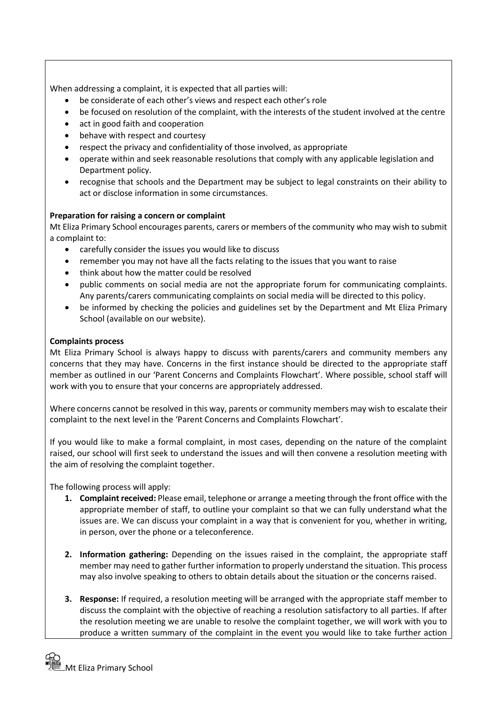When addressing a complaint, it is expected that all parties will:

- be considerate of each other's views and respect each other's role
- be focused on resolution of the complaint, with the interests of the student involved at the centre
- act in good faith and cooperation
- behave with respect and courtesy
- respect the privacy and confidentiality of those involved, as appropriate
- operate within and seek reasonable resolutions that comply with any applicable legislation and Department policy.
- recognise that schools and the Department may be subject to legal constraints on their ability to act or disclose information in some circumstances.

#### **Preparation for raising a concern or complaint**

Mt Eliza Primary School encourages parents, carers or members of the community who may wish to submit a complaint to:

- carefully consider the issues you would like to discuss
- remember you may not have all the facts relating to the issues that you want to raise
- think about how the matter could be resolved
- public comments on social media are not the appropriate forum for communicating complaints. Any parents/carers communicating complaints on social media will be directed to this policy.
- be informed by checking the policies and guidelines set by the Department and Mt Eliza Primary School (available on our website).

#### **Complaints process**

Mt Eliza Primary School is always happy to discuss with parents/carers and community members any concerns that they may have. Concerns in the first instance should be directed to the appropriate staff member as outlined in our 'Parent Concerns and Complaints Flowchart'. Where possible, school staff will work with you to ensure that your concerns are appropriately addressed.

Where concerns cannot be resolved in this way, parents or community members may wish to escalate their complaint to the next level in the 'Parent Concerns and Complaints Flowchart'.

If you would like to make a formal complaint, in most cases, depending on the nature of the complaint raised, our school will first seek to understand the issues and will then convene a resolution meeting with the aim of resolving the complaint together.

The following process will apply:

- **1. Complaint received:** Please email, telephone or arrange a meeting through the front office with the appropriate member of staff, to outline your complaint so that we can fully understand what the issues are. We can discuss your complaint in a way that is convenient for you, whether in writing, in person, over the phone or a teleconference.
- **2. Information gathering:** Depending on the issues raised in the complaint, the appropriate staff member may need to gather further information to properly understand the situation. This process may also involve speaking to others to obtain details about the situation or the concerns raised.
- **3. Response:** If required, a resolution meeting will be arranged with the appropriate staff member to discuss the complaint with the objective of reaching a resolution satisfactory to all parties. If after the resolution meeting we are unable to resolve the complaint together, we will work with you to produce a written summary of the complaint in the event you would like to take further action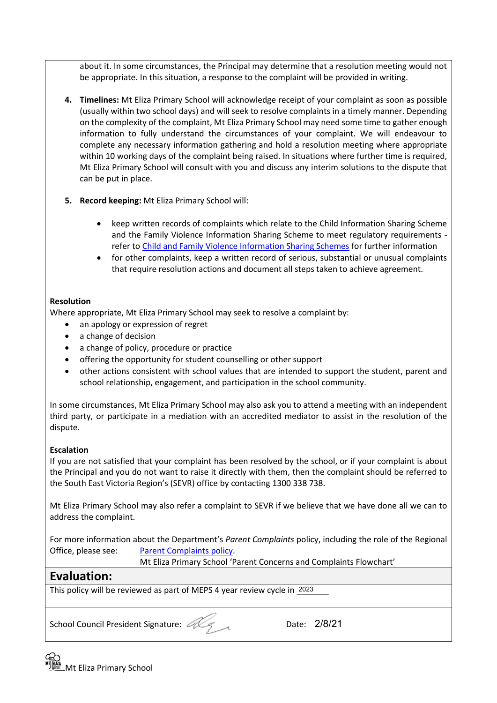about it. In some circumstances, the Principal may determine that a resolution meeting would not be appropriate. In this situation, a response to the complaint will be provided in writing.

- **4. Timelines:** Mt Eliza Primary School will acknowledge receipt of your complaint as soon as possible (usually within two school days) and will seek to resolve complaints in a timely manner. Depending on the complexity of the complaint, Mt Eliza Primary School may need some time to gather enough information to fully understand the circumstances of your complaint. We will endeavour to complete any necessary information gathering and hold a resolution meeting where appropriate within 10 working days of the complaint being raised. In situations where further time is required, Mt Eliza Primary School will consult with you and discuss any interim solutions to the dispute that can be put in place.
- **5. Record keeping:** Mt Eliza Primary School will:
	- keep written records of complaints which relate to the Child Information Sharing Scheme and the Family Violence Information Sharing Scheme to meet regulatory requirements refer to [Child and Family Violence Information Sharing Schemes](https://www2.education.vic.gov.au/pal/information-sharing-schemes/policy) for further information
	- for other complaints, keep a written record of serious, substantial or unusual complaints that require resolution actions and document all steps taken to achieve agreement.

#### **Resolution**

Where appropriate, Mt Eliza Primary School may seek to resolve a complaint by:

- an apology or expression of regret
- a change of decision
- a change of policy, procedure or practice
- offering the opportunity for student counselling or other support
- other actions consistent with school values that are intended to support the student, parent and school relationship, engagement, and participation in the school community.

In some circumstances, Mt Eliza Primary School may also ask you to attend a meeting with an independent third party, or participate in a mediation with an accredited mediator to assist in the resolution of the dispute.

#### **Escalation**

If you are not satisfied that your complaint has been resolved by the school, or if your complaint is about the Principal and you do not want to raise it directly with them, then the complaint should be referred to the South East Victoria Region's (SEVR) office by contacting 1300 338 738.

Mt Eliza Primary School may also refer a complaint to SEVR if we believe that we have done all we can to address the complaint.

For more information about the Department's *Parent Complaints* policy, including the role of the Regional Office, please see: [Parent Complaints policy.](https://www2.education.vic.gov.au/pal/complaints/policy)

Mt Eliza Primary School 'Parent Concerns and Complaints Flowchart'

# **Evaluation:**

This policy will be reviewed as part of MEPS 4 year review cycle in 2023

School Council President Signature: 28/21